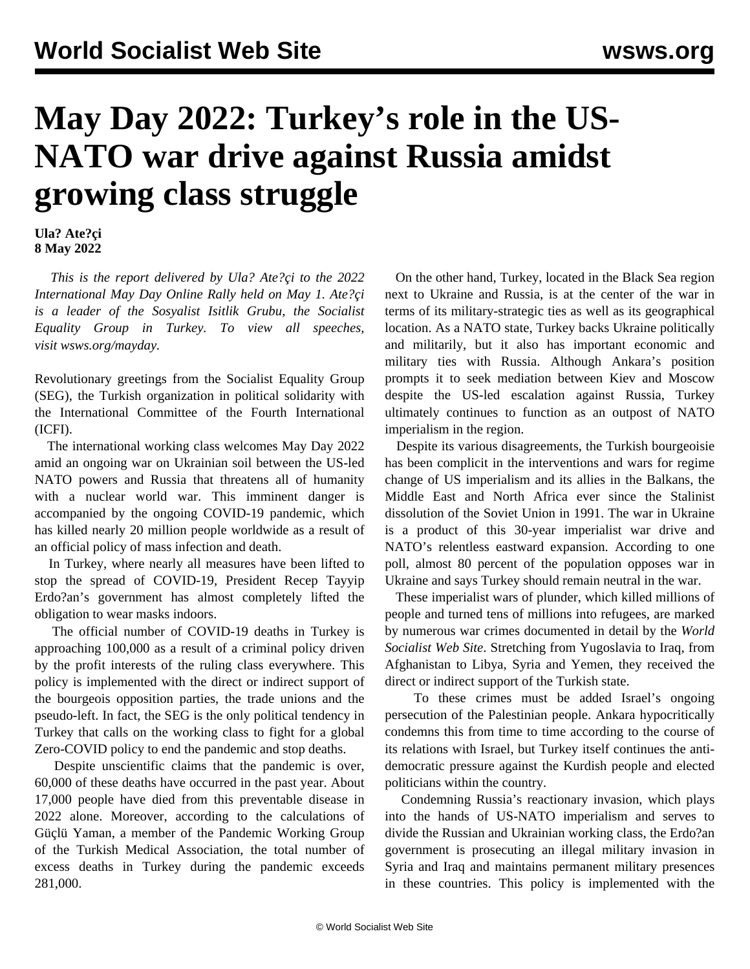## **May Day 2022: Turkey's role in the US-NATO war drive against Russia amidst growing class struggle**

**Ula? Ate?çi 8 May 2022**

 *This is the report delivered by Ula? Ate?çi to the 2022 International May Day Online Rally held on May 1. Ate?çi is a leader of the Sosyalist Isitlik Grubu, the Socialist Equality Group in Turkey. To view all speeches, visit [wsws.org/mayday.](/mayday)*

Revolutionary greetings from the Socialist Equality Group (SEG), the Turkish organization in political solidarity with the International Committee of the Fourth International (ICFI).

 The international working class welcomes May Day 2022 amid an ongoing war on Ukrainian soil between the US-led NATO powers and Russia that threatens all of humanity with a nuclear world war. This imminent danger is accompanied by the ongoing COVID-19 pandemic, which has killed nearly 20 million people worldwide as a result of an official policy of mass infection and death.

 In Turkey, where nearly all measures have been lifted to stop the spread of COVID-19, President Recep Tayyip Erdo?an's government has almost completely lifted the obligation to wear masks indoors.

 The official number of COVID-19 deaths in Turkey is approaching 100,000 as a result of a criminal policy driven by the profit interests of the ruling class everywhere. This policy is implemented with the direct or indirect support of the bourgeois opposition parties, the trade unions and the pseudo-left. In fact, the SEG is the only political tendency in Turkey that calls on the working class to fight for a global Zero-COVID policy to end the pandemic and stop deaths.

 Despite unscientific claims that the pandemic is over, 60,000 of these deaths have occurred in the past year. About 17,000 people have died from this preventable disease in 2022 alone. Moreover, according to the calculations of Güçlü Yaman, a member of the Pandemic Working Group of the Turkish Medical Association, the total number of excess deaths in Turkey during the pandemic exceeds 281,000.

 On the other hand, Turkey, located in the Black Sea region next to Ukraine and Russia, is at the center of the war in terms of its military-strategic ties as well as its geographical location. As a NATO state, Turkey backs Ukraine politically and militarily, but it also has important economic and military ties with Russia. Although Ankara's position prompts it to seek mediation between Kiev and Moscow despite the US-led escalation against Russia, Turkey ultimately continues to function as an outpost of NATO imperialism in the region.

 Despite its various disagreements, the Turkish bourgeoisie has been complicit in the interventions and wars for regime change of US imperialism and its allies in the Balkans, the Middle East and North Africa ever since the Stalinist dissolution of the Soviet Union in 1991. The war in Ukraine is a product of this 30-year imperialist war drive and NATO's relentless eastward expansion. According to one poll, almost 80 percent of the population opposes war in Ukraine and says Turkey should remain neutral in the war.

 These imperialist wars of plunder, which killed millions of people and turned tens of millions into refugees, are marked by numerous war crimes documented in detail by the *World Socialist Web Site*. Stretching from Yugoslavia to Iraq, from Afghanistan to Libya, Syria and Yemen, they received the direct or indirect support of the Turkish state.

 To these crimes must be added Israel's ongoing persecution of the Palestinian people. Ankara hypocritically condemns this from time to time according to the course of its relations with Israel, but Turkey itself continues the antidemocratic pressure against the Kurdish people and elected politicians within the country.

 Condemning Russia's reactionary invasion, which plays into the hands of US-NATO imperialism and serves to divide the Russian and Ukrainian working class, the Erdo?an government is prosecuting an illegal military invasion in Syria and Iraq and maintains permanent military presences in these countries. This policy is implemented with the